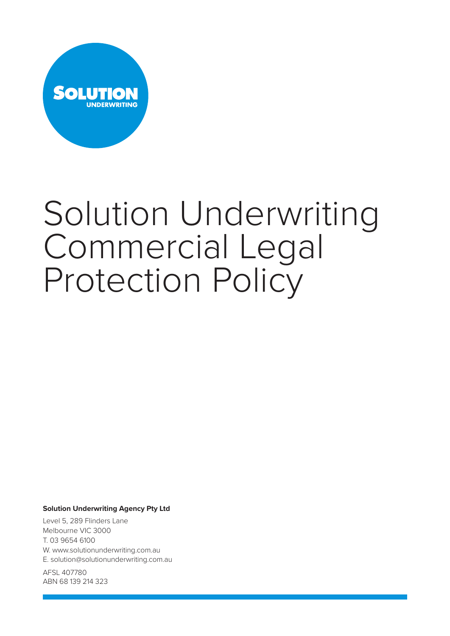

# Solution Underwriting Commercial Legal Protection Policy

# **Solution Underwriting Agency Pty Ltd**

Level 5, 289 Flinders Lane Melbourne VIC 3000 T. 03 9654 6100 W. www.solutionunderwriting.com.au E. solution@solutionunderwriting.com.au

AFSL 407780 ABN 68 139 214 323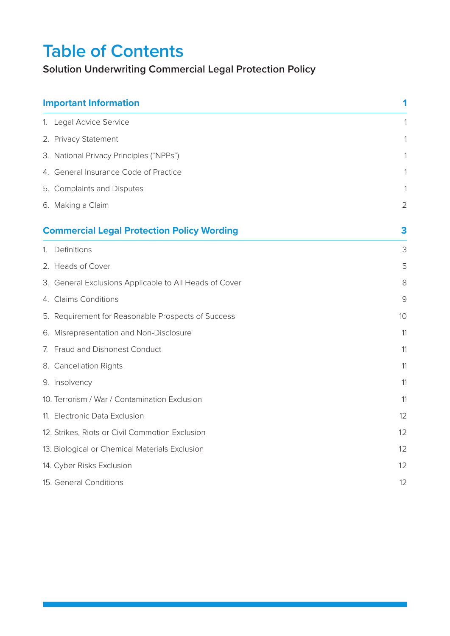# **Table of Contents**

# **Solution Underwriting Commercial Legal Protection Policy**

| <b>Important Information</b>                           | 1              |
|--------------------------------------------------------|----------------|
| 1. Legal Advice Service                                |                |
| 2. Privacy Statement                                   |                |
| 3. National Privacy Principles ("NPPs")                |                |
| 4. General Insurance Code of Practice                  | 1              |
| 5. Complaints and Disputes                             | 1              |
| 6. Making a Claim                                      | $\overline{2}$ |
| <b>Commercial Legal Protection Policy Wording</b>      | 3              |
| 1. Definitions                                         | 3              |
| 2. Heads of Cover                                      | 5              |
| 3. General Exclusions Applicable to All Heads of Cover | 8              |
| 4. Claims Conditions                                   | 9              |
| 5. Requirement for Reasonable Prospects of Success     | 10             |
| 6. Misrepresentation and Non-Disclosure                | 11             |
| 7. Fraud and Dishonest Conduct                         | 11             |
| 8. Cancellation Rights                                 | 11             |
| 9. Insolvency                                          | 11             |
| 10. Terrorism / War / Contamination Exclusion          | 11             |
| 11. Electronic Data Exclusion                          | 12             |
| 12. Strikes, Riots or Civil Commotion Exclusion        | 12             |
| 13. Biological or Chemical Materials Exclusion         | 12             |
| 14. Cyber Risks Exclusion                              | 12             |
| 15. General Conditions                                 | 12             |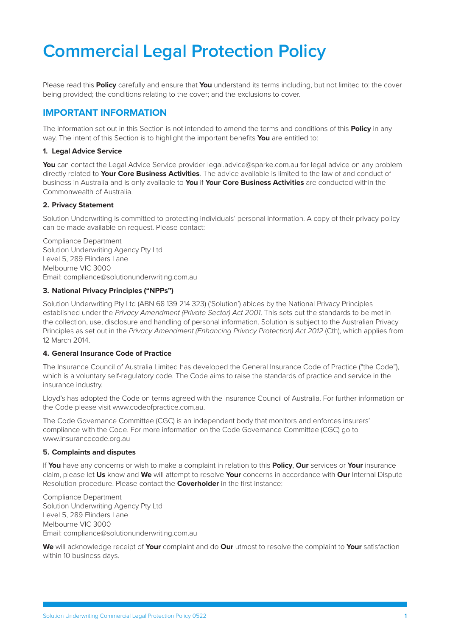# <span id="page-2-0"></span>**Commercial Legal Protection Policy**

Please read this **Policy** carefully and ensure that **You** understand its terms including, but not limited to: the cover being provided; the conditions relating to the cover; and the exclusions to cover.

# **IMPORTANT INFORMATION**

The information set out in this Section is not intended to amend the terms and conditions of this **Policy** in any way. The intent of this Section is to highlight the important benefits **You** are entitled to:

# **1. Legal Advice Service**

**You** can contact the Legal Advice Service provider legal.advice@sparke.com.au for legal advice on any problem directly related to **Your Core Business Activities**. The advice available is limited to the law of and conduct of business in Australia and is only available to **You** if **Your Core Business Activities** are conducted within the Commonwealth of Australia.

# **2. Privacy Statement**

Solution Underwriting is committed to protecting individuals' personal information. A copy of their privacy policy can be made available on request. Please contact:

Compliance Department Solution Underwriting Agency Pty Ltd Level 5, 289 Flinders Lane Melbourne VIC 3000 Email: compliance@solutionunderwriting.com.au

# **3. National Privacy Principles ("NPPs")**

Solution Underwriting Pty Ltd (ABN 68 139 214 323) ('Solution') abides by the National Privacy Principles established under the *Privacy Amendment (Private Sector) Act 2001*. This sets out the standards to be met in the collection, use, disclosure and handling of personal information. Solution is subject to the Australian Privacy Principles as set out in the *Privacy Amendment (Enhancing Privacy Protection) Act 2012* (Cth), which applies from 12 March 2014.

## **4. General Insurance Code of Practice**

The Insurance Council of Australia Limited has developed the General Insurance Code of Practice ("the Code"), which is a voluntary self-regulatory code. The Code aims to raise the standards of practice and service in the insurance industry.

Lloyd's has adopted the Code on terms agreed with the Insurance Council of Australia. For further information on the Code please visit www.codeofpractice.com.au.

The Code Governance Committee (CGC) is an independent body that monitors and enforces insurers' compliance with the Code. For more information on the Code Governance Committee (CGC) go to www.insurancecode.org.au

## **5. Complaints and disputes**

If **You** have any concerns or wish to make a complaint in relation to this **Policy**, **Our** services or **Your** insurance claim, please let **Us** know and **We** will attempt to resolve **Your** concerns in accordance with **Our** Internal Dispute Resolution procedure. Please contact the **Coverholder** in the first instance:

Compliance Department Solution Underwriting Agency Pty Ltd Level 5, 289 Flinders Lane Melbourne VIC 3000 Email: compliance@solutionunderwriting.com.au

**We** will acknowledge receipt of **Your** complaint and do **Our** utmost to resolve the complaint to **Your** satisfaction within 10 business days.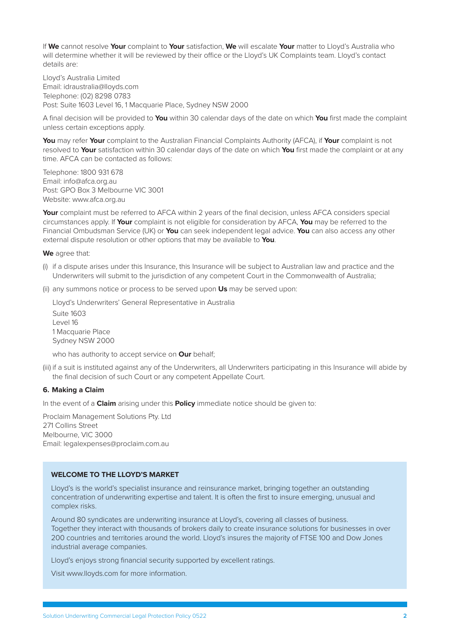<span id="page-3-0"></span>If **We** cannot resolve **Your** complaint to **Your** satisfaction, **We** will escalate **Your** matter to Lloyd's Australia who will determine whether it will be reviewed by their office or the Lloyd's UK Complaints team. Lloyd's contact details are:

Lloyd's Australia Limited Email: idraustralia@lloyds.com Telephone: (02) 8298 0783 Post: Suite 1603 Level 16, 1 Macquarie Place, Sydney NSW 2000

A final decision will be provided to **You** within 30 calendar days of the date on which **You** first made the complaint unless certain exceptions apply.

**You** may refer **Your** complaint to the Australian Financial Complaints Authority (AFCA), if **Your** complaint is not resolved to **Your** satisfaction within 30 calendar days of the date on which **You** first made the complaint or at any time. AFCA can be contacted as follows:

Telephone: 1800 931 678 Email: info@afca.org.au Post: GPO Box 3 Melbourne VIC 3001 Website: www.afca.org.au

**Your** complaint must be referred to AFCA within 2 years of the final decision, unless AFCA considers special circumstances apply. If **Your** complaint is not eligible for consideration by AFCA, **You** may be referred to the Financial Ombudsman Service (UK) or **You** can seek independent legal advice. **You** can also access any other external dispute resolution or other options that may be available to **You**.

**We** agree that:

- (i) if a dispute arises under this Insurance, this Insurance will be subject to Australian law and practice and the Underwriters will submit to the jurisdiction of any competent Court in the Commonwealth of Australia;
- (ii) any summons notice or process to be served upon **Us** may be served upon:

Lloyd's Underwriters' General Representative in Australia Suite 1603 Level 16 1 Macquarie Place Sydney NSW 2000

who has authority to accept service on **Our** behalf;

(iii) if a suit is instituted against any of the Underwriters, all Underwriters participating in this Insurance will abide by the final decision of such Court or any competent Appellate Court.

## **6. Making a Claim**

In the event of a **Claim** arising under this **Policy** immediate notice should be given to:

Proclaim Management Solutions Pty. Ltd 271 Collins Street Melbourne, VIC 3000 Email: legalexpenses@proclaim.com.au

## **WELCOME TO THE LLOYD'S MARKET**

Lloyd's is the world's specialist insurance and reinsurance market, bringing together an outstanding concentration of underwriting expertise and talent. It is often the first to insure emerging, unusual and complex risks.

Around 80 syndicates are underwriting insurance at Lloyd's, covering all classes of business. Together they interact with thousands of brokers daily to create insurance solutions for businesses in over 200 countries and territories around the world. Lloyd's insures the majority of FTSE 100 and Dow Jones industrial average companies.

Lloyd's enjoys strong financial security supported by excellent ratings.

Visit www.lloyds.com for more information.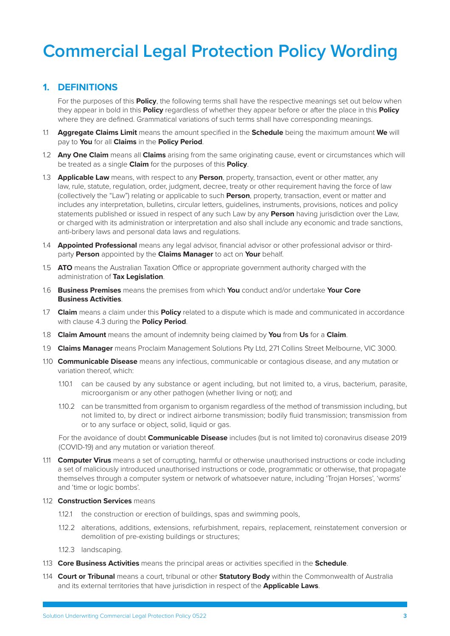# <span id="page-4-0"></span>**Commercial Legal Protection Policy Wording**

# **1. DEFINITIONS**

For the purposes of this **Policy**, the following terms shall have the respective meanings set out below when they appear in bold in this **Policy** regardless of whether they appear before or after the place in this **Policy** where they are defined. Grammatical variations of such terms shall have corresponding meanings.

- 1.1 **Aggregate Claims Limit** means the amount specified in the **Schedule** being the maximum amount **We** will pay to **You** for all **Claims** in the **Policy Period**.
- 1.2 **Any One Claim** means all **Claims** arising from the same originating cause, event or circumstances which will be treated as a single **Claim** for the purposes of this **Policy**.
- 1.3 **Applicable Law** means, with respect to any **Person**, property, transaction, event or other matter, any law, rule, statute, regulation, order, judgment, decree, treaty or other requirement having the force of law (collectively the "Law") relating or applicable to such **Person**, property, transaction, event or matter and includes any interpretation, bulletins, circular letters, guidelines, instruments, provisions, notices and policy statements published or issued in respect of any such Law by any **Person** having jurisdiction over the Law, or charged with its administration or interpretation and also shall include any economic and trade sanctions, anti-bribery laws and personal data laws and regulations.
- 1.4 **Appointed Professional** means any legal advisor, financial advisor or other professional advisor or thirdparty **Person** appointed by the **Claims Manager** to act on **Your** behalf.
- 1.5 **ATO** means the Australian Taxation Office or appropriate government authority charged with the administration of **Tax Legislation**.
- 1.6 **Business Premises** means the premises from which **You** conduct and/or undertake **Your Core Business Activities**.
- 1.7 **Claim** means a claim under this **Policy** related to a dispute which is made and communicated in accordance with clause 4.3 during the **Policy Period**.
- 1.8 **Claim Amount** means the amount of indemnity being claimed by **You** from **Us** for a **Claim**.
- 1.9 **Claims Manager** means Proclaim Management Solutions Pty Ltd, 271 Collins Street Melbourne, VIC 3000.
- 1.10 **Communicable Disease** means any infectious, communicable or contagious disease, and any mutation or variation thereof, which:
	- 1.10.1 can be caused by any substance or agent including, but not limited to, a virus, bacterium, parasite, microorganism or any other pathogen (whether living or not); and
	- 1.10.2 can be transmitted from organism to organism regardless of the method of transmission including, but not limited to, by direct or indirect airborne transmission; bodily fluid transmission; transmission from or to any surface or object, solid, liquid or gas.

For the avoidance of doubt **Communicable Disease** includes (but is not limited to) coronavirus disease 2019 (COVID-19) and any mutation or variation thereof.

1.11 **Computer Virus** means a set of corrupting, harmful or otherwise unauthorised instructions or code including a set of maliciously introduced unauthorised instructions or code, programmatic or otherwise, that propagate themselves through a computer system or network of whatsoever nature, including 'Trojan Horses', 'worms' and 'time or logic bombs'.

#### 1.12 **Construction Services** means

- 1.12.1 the construction or erection of buildings, spas and swimming pools,
- 1.12.2 alterations, additions, extensions, refurbishment, repairs, replacement, reinstatement conversion or demolition of pre-existing buildings or structures;
- 1.12.3 landscaping.
- 1.13 **Core Business Activities** means the principal areas or activities specified in the **Schedule**.
- 1.14 **Court or Tribunal** means a court, tribunal or other **Statutory Body** within the Commonwealth of Australia and its external territories that have jurisdiction in respect of the **Applicable Laws**.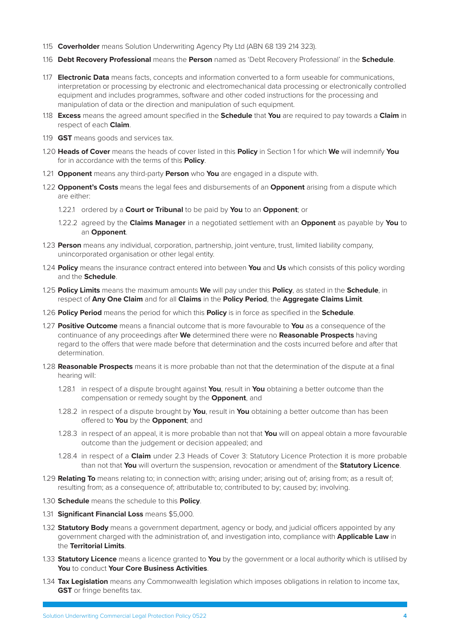- 1.15 **Coverholder** means Solution Underwriting Agency Pty Ltd (ABN 68 139 214 323).
- 1.16 **Debt Recovery Professional** means the **Person** named as 'Debt Recovery Professional' in the **Schedule**.
- 1.17 **Electronic Data** means facts, concepts and information converted to a form useable for communications, interpretation or processing by electronic and electromechanical data processing or electronically controlled equipment and includes programmes, software and other coded instructions for the processing and manipulation of data or the direction and manipulation of such equipment.
- 1.18 **Excess** means the agreed amount specified in the **Schedule** that **You** are required to pay towards a **Claim** in respect of each **Claim**.
- 1.19 **GST** means goods and services tax.
- 1.20 **Heads of Cover** means the heads of cover listed in this **Policy** in Section [1](#page-6-1) for which **We** will indemnify **You**  for in accordance with the terms of this **Policy**.
- 1.21 **Opponent** means any third-party **Person** who **You** are engaged in a dispute with.
- 1.22 **Opponent's Costs** means the legal fees and disbursements of an **Opponent** arising from a dispute which are either:
	- 1.22.1 ordered by a **Court or Tribunal** to be paid by **You** to an **Opponent**; or
	- 1.22.2 agreed by the **Claims Manager** in a negotiated settlement with an **Opponent** as payable by **You** to an **Opponent**.
- 1.23 **Person** means any individual, corporation, partnership, joint venture, trust, limited liability company, unincorporated organisation or other legal entity.
- 1.24 **Policy** means the insurance contract entered into between **You** and **Us** which consists of this policy wording and the **Schedule**.
- 1.25 **Policy Limits** means the maximum amounts **We** will pay under this **Policy**, as stated in the **Schedule**, in respect of **Any One Claim** and for all **Claims** in the **Policy Period**, the **Aggregate Claims Limit**.
- 1.26 **Policy Period** means the period for which this **Policy** is in force as specified in the **Schedule**.
- 1.27 **Positive Outcome** means a financial outcome that is more favourable to **You** as a consequence of the continuance of any proceedings after **We** determined there were no **Reasonable Prospects** having regard to the offers that were made before that determination and the costs incurred before and after that determination.
- 1.28 **Reasonable Prospects** means it is more probable than not that the determination of the dispute at a final hearing will:
	- 1.28.1 in respect of a dispute brought against **You**, result in **You** obtaining a better outcome than the compensation or remedy sought by the **Opponent**, and
	- 1.28.2 in respect of a dispute brought by **You**, result in **You** obtaining a better outcome than has been offered to **You** by the **Opponent**; and
	- 1.28.3 in respect of an appeal, it is more probable than not that **You** will on appeal obtain a more favourable outcome than the judgement or decision appealed; and
	- 1.28.4 in respect of a **Claim** under 2.3 Heads of Cover 3: Statutory Licence Protection it is more probable than not that **You** will overturn the suspension, revocation or amendment of the **Statutory Licence**.
- 1.29 **Relating To** means relating to; in connection with; arising under; arising out of; arising from; as a result of; resulting from; as a consequence of; attributable to; contributed to by; caused by; involving.
- 1.30 **Schedule** means the schedule to this **Policy**.
- 1.31 **Significant Financial Loss** means \$5,000.
- 1.32 **Statutory Body** means a government department, agency or body, and judicial officers appointed by any government charged with the administration of, and investigation into, compliance with **Applicable Law** in the **Territorial Limits**.
- 1.33 **Statutory Licence** means a licence granted to **You** by the government or a local authority which is utilised by **You** to conduct **Your Core Business Activities**.
- 1.34 **Tax Legislation** means any Commonwealth legislation which imposes obligations in relation to income tax, **GST** or fringe benefits tax.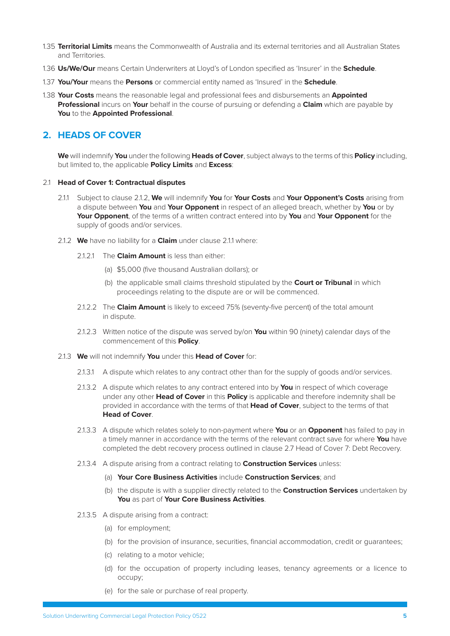- <span id="page-6-0"></span>1.35 **Territorial Limits** means the Commonwealth of Australia and its external territories and all Australian States and Territories.
- 1.36 **Us/We/Our** means Certain Underwriters at Lloyd's of London specified as 'Insurer' in the **Schedule**.
- 1.37 **You/Your** means the **Persons** or commercial entity named as 'Insured' in the **Schedule**.
- 1.38 **Your Costs** means the reasonable legal and professional fees and disbursements an **Appointed Professional** incurs on **Your** behalf in the course of pursuing or defending a **Claim** which are payable by **You** to the **Appointed Professional**.

# **2. HEADS OF COVER**

<span id="page-6-1"></span>**We** will indemnify **You** under the following **Heads of Cover**, subject always to the terms of this **Policy** including, but limited to, the applicable **Policy Limits** and **Excess**:

#### 2.1 **Head of Cover 1: Contractual disputes**

- <span id="page-6-3"></span><span id="page-6-2"></span>2.1.1 Subject to clause 2.1.2, **We** will indemnify **You** for **Your Costs** and **Your Opponent's Costs** arising from a dispute between **You** and **Your Opponent** in respect of an alleged breach, whether by **You** or by **Your Opponent**, of the terms of a written contract entered into by **You** and **Your Opponent** for the supply of goods and/or services.
- 2.1.2 **We** have no liability for a **Claim** under clause [2.1.1](#page-6-2) where:
	- 2.1.2.1 The **Claim Amount** is less than either:
		- (a) \$5,000 (five thousand Australian dollars); or
		- (b) the applicable small claims threshold stipulated by the **Court or Tribunal** in which proceedings relating to the dispute are or will be commenced.
	- 2.1.2.2 The **Claim Amount** is likely to exceed 75% (seventy-five percent) of the total amount in dispute.
	- 2.1.2.3 Written notice of the dispute was served by/on **You** within 90 (ninety) calendar days of the commencement of this **Policy**.
- 2.1.3 **We** will not indemnify **You** under this **Head of Cover** for:
	- 2.1.3.1 A dispute which relates to any contract other than for the supply of goods and/or services.
	- 2.1.3.2 A dispute which relates to any contract entered into by **You** in respect of which coverage under any other **Head of Cover** in this **Policy** is applicable and therefore indemnity shall be provided in accordance with the terms of that **Head of Cover**, subject to the terms of that **Head of Cover**.
	- 2.1.3.3 A dispute which relates solely to non-payment where **You** or an **Opponent** has failed to pay in a timely manner in accordance with the terms of the relevant contract save for where **You** have completed the debt recovery process outlined in clause [2.7](#page-9-1) Head of Cover 7: Debt Recovery.
	- 2.1.3.4 A dispute arising from a contract relating to **Construction Services** unless:
		- (a) **Your Core Business Activities** include **Construction Services**; and
		- (b) the dispute is with a supplier directly related to the **Construction Services** undertaken by **You** as part of **Your Core Business Activities**.
	- 2.1.3.5 A dispute arising from a contract:
		- (a) for employment;
		- (b) for the provision of insurance, securities, financial accommodation, credit or guarantees;
		- (c) relating to a motor vehicle;
		- (d) for the occupation of property including leases, tenancy agreements or a licence to occupy;
		- (e) for the sale or purchase of real property.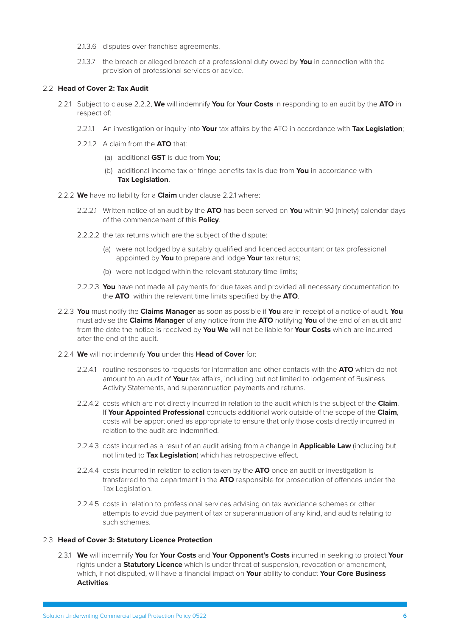- 2.1.3.6 disputes over franchise agreements.
- <span id="page-7-0"></span>2.1.3.7 the breach or alleged breach of a professional duty owed by **You** in connection with the provision of professional services or advice.

# 2.2 **Head of Cover 2: Tax Audit**

- 2.2.1 Subject to clause 2.2.2, **We** will indemnify **You** for **Your Costs** in responding to an audit by the **ATO** in respect of:
	- 2.2.1.1 An investigation or inquiry into **Your** tax affairs by the ATO in accordance with **Tax Legislation**;
	- 2.2.1.2 A claim from the **ATO** that:
		- (a) additional **GST** is due from **You**;
		- (b) additional income tax or fringe benefits tax is due from **You** in accordance with **Tax Legislation**.
- 2.2.2 **We** have no liability for a **Claim** under clause [2.2.1](#page-7-0) where:
	- 2.2.2.1 Written notice of an audit by the **ATO** has been served on **You** within 90 (ninety) calendar days of the commencement of this **Policy**.
	- 2.2.2.2 the tax returns which are the subject of the dispute:
		- (a) were not lodged by a suitably qualified and licenced accountant or tax professional appointed by **You** to prepare and lodge **Your** tax returns;
		- (b) were not lodged within the relevant statutory time limits;
	- 2.2.2.3 **You** have not made all payments for due taxes and provided all necessary documentation to the **ATO** within the relevant time limits specified by the **ATO**.
- 2.2.3 **You** must notify the **Claims Manager** as soon as possible if **You** are in receipt of a notice of audit. **You** must advise the **Claims Manager** of any notice from the **ATO** notifying **You** of the end of an audit and from the date the notice is received by **You We** will not be liable for **Your Costs** which are incurred after the end of the audit.
- 2.2.4 **We** will not indemnify **You** under this **Head of Cover** for:
	- 2.2.4.1 routine responses to requests for information and other contacts with the **ATO** which do not amount to an audit of **Your** tax affairs, including but not limited to lodgement of Business Activity Statements, and superannuation payments and returns.
	- 2.2.4.2 costs which are not directly incurred in relation to the audit which is the subject of the **Claim**. If **Your Appointed Professional** conducts additional work outside of the scope of the **Claim**, costs will be apportioned as appropriate to ensure that only those costs directly incurred in relation to the audit are indemnified.
	- 2.2.4.3 costs incurred as a result of an audit arising from a change in **Applicable Law** (including but not limited to **Tax Legislation**) which has retrospective effect.
	- 2.2.4.4 costs incurred in relation to action taken by the **ATO** once an audit or investigation is transferred to the department in the **ATO** responsible for prosecution of offences under the Tax Legislation.
	- 2.2.4.5 costs in relation to professional services advising on tax avoidance schemes or other attempts to avoid due payment of tax or superannuation of any kind, and audits relating to such schemes.

## 2.3 **Head of Cover 3: Statutory Licence Protection**

<span id="page-7-1"></span>2.3.1 **We** will indemnify **You** for **Your Costs** and **Your Opponent's Costs** incurred in seeking to protect **Your**  rights under a **Statutory Licence** which is under threat of suspension, revocation or amendment, which, if not disputed, will have a financial impact on **Your** ability to conduct **Your Core Business Activities**.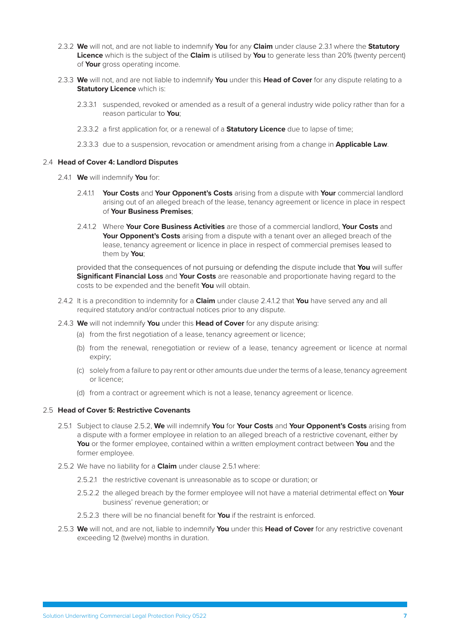- 2.3.2 **We** will not, and are not liable to indemnify **You** for any **Claim** under clause [2.3.1](#page-7-1) where the **Statutory Licence** which is the subject of the **Claim** is utilised by **You** to generate less than 20% (twenty percent) of **Your** gross operating income.
- 2.3.3 **We** will not, and are not liable to indemnify **You** under this **Head of Cover** for any dispute relating to a **Statutory Licence** which is:
	- 2.3.3.1 suspended, revoked or amended as a result of a general industry wide policy rather than for a reason particular to **You**;
	- 2.3.3.2 a first application for, or a renewal of a **Statutory Licence** due to lapse of time;
	- 2.3.3.3 due to a suspension, revocation or amendment arising from a change in **Applicable Law**.

#### 2.4 **Head of Cover 4: Landlord Disputes**

- 2.4.1 **We** will indemnify **You** for:
	- 2.4.1.1 **Your Costs** and **Your Opponent's Costs** arising from a dispute with **Your** commercial landlord arising out of an alleged breach of the lease, tenancy agreement or licence in place in respect of **Your Business Premises**;
	- 2.4.1.2 Where **Your Core Business Activities** are those of a commercial landlord, **Your Costs** and **Your Opponent's Costs** arising from a dispute with a tenant over an alleged breach of the lease, tenancy agreement or licence in place in respect of commercial premises leased to them by **You**;

<span id="page-8-0"></span>provided that the consequences of not pursuing or defending the dispute include that **You** will suffer **Significant Financial Loss** and **Your Costs** are reasonable and proportionate having regard to the costs to be expended and the benefit **You** will obtain.

- 2.4.2 It is a precondition to indemnity for a **Claim** under clause [2.4.1.2](#page-8-0) that **You** have served any and all required statutory and/or contractual notices prior to any dispute.
- 2.4.3 **We** will not indemnify **You** under this **Head of Cover** for any dispute arising:
	- (a) from the first negotiation of a lease, tenancy agreement or licence;
	- (b) from the renewal, renegotiation or review of a lease, tenancy agreement or licence at normal expiry;
	- (c) solely from a failure to pay rent or other amounts due under the terms of a lease, tenancy agreement or licence;
	- (d) from a contract or agreement which is not a lease, tenancy agreement or licence.

# 2.5 **Head of Cover 5: Restrictive Covenants**

- 2.5.1 Subject to clause 2.5.2, **We** will indemnify **You** for **Your Costs** and **Your Opponent's Costs** arising from a dispute with a former employee in relation to an alleged breach of a restrictive covenant, either by **You** or the former employee, contained within a written employment contract between **You** and the former employee.
- 2.5.2 We have no liability for a **Claim** under clause [2.5.1](#page-6-2) where:
	- 2.5.2.1 the restrictive covenant is unreasonable as to scope or duration; or
	- 2.5.2.2 the alleged breach by the former employee will not have a material detrimental effect on **Your** business' revenue generation; or
	- 2.5.2.3 there will be no financial benefit for **You** if the restraint is enforced.
- 2.5.3 **We** will not, and are not, liable to indemnify **You** under this **Head of Cover** for any restrictive covenant exceeding 12 (twelve) months in duration.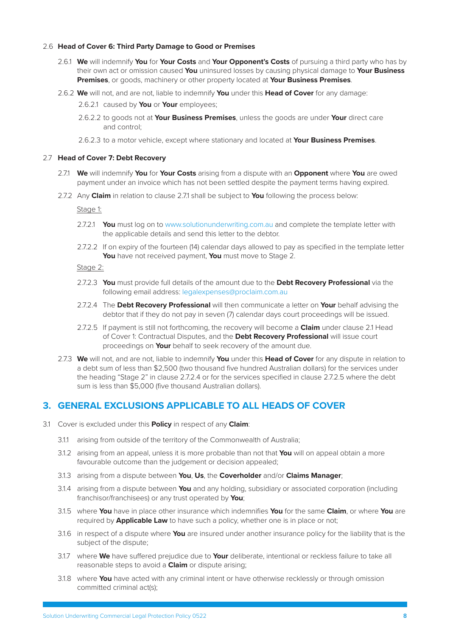## <span id="page-9-0"></span>2.6 **Head of Cover 6: Third Party Damage to Good or Premises**

- 2.6.1 **We** will indemnify **You** for **Your Costs** and **Your Opponent's Costs** of pursuing a third party who has by their own act or omission caused **You** uninsured losses by causing physical damage to **Your Business Premises**, or goods, machinery or other property located at **Your Business Premises**.
- 2.6.2 **We** will not, and are not, liable to indemnify **You** under this **Head of Cover** for any damage:

2.6.2.1 caused by **You** or **Your** employees;

- 2.6.2.2 to goods not at **Your Business Premises**, unless the goods are under **Your** direct care and control;
- <span id="page-9-2"></span><span id="page-9-1"></span>2.6.2.3 to a motor vehicle, except where stationary and located at **Your Business Premises**.

#### 2.7 **Head of Cover 7: Debt Recovery**

- 2.7.1 **We** will indemnify **You** for **Your Costs** arising from a dispute with an **Opponent** where **You** are owed payment under an invoice which has not been settled despite the payment terms having expired.
- 2.7.2 Any **Claim** in relation to clause [2.7.1](#page-9-2) shall be subject to **You** following the process below:

Stage 1:

- 2.7.2.1 **You** must log on to [www.solutionunderwriting.com.au](http://www.solutionunderwriting.com.au) and complete the template letter with the applicable details and send this letter to the debtor.
- 2.7.2.2 If on expiry of the fourteen (14) calendar days allowed to pay as specified in the template letter **You** have not received payment, **You** must move to Stage 2.

Stage 2:

- 2.7.2.3 **You** must provide full details of the amount due to the **Debt Recovery Professional** via the following email address: legalexpenses@proclaim.com.au
- 2.7.2.4 The **Debt Recovery Professional** will then communicate a letter on **Your** behalf advising the debtor that if they do not pay in seven (7) calendar days court proceedings will be issued.
- 2.7.2.5 If payment is still not forthcoming, the recovery will become a **Claim** under clause [2.1](#page-6-3) Head of Cover 1: Contractual Disputes, and the **Debt Recovery Professional** will issue court proceedings on **Your** behalf to seek recovery of the amount due.
- 2.7.3 **We** will not, and are not, liable to indemnify **You** under this **Head of Cover** for any dispute in relation to a debt sum of less than \$2,500 (two thousand five hundred Australian dollars) for the services under the heading "Stage 2" in clause 2.7.2.4 or for the services specified in clause 2.7.2.5 where the debt sum is less than \$5,000 (five thousand Australian dollars).

# **3. GENERAL EXCLUSIONS APPLICABLE TO ALL HEADS OF COVER**

- 3.1 Cover is excluded under this **Policy** in respect of any **Claim**:
	- 3.1.1 arising from outside of the territory of the Commonwealth of Australia;
	- 3.1.2 arising from an appeal, unless it is more probable than not that **You** will on appeal obtain a more favourable outcome than the judgement or decision appealed;
	- 3.1.3 arising from a dispute between **You**, **Us**, the **Coverholder** and/or **Claims Manager**;
	- 3.1.4 arising from a dispute between **You** and any holding, subsidiary or associated corporation (including franchisor/franchisees) or any trust operated by **You**;
	- 3.1.5 where **You** have in place other insurance which indemnifies **You** for the same **Claim**, or where **You** are required by **Applicable Law** to have such a policy, whether one is in place or not;
	- 3.1.6 in respect of a dispute where **You** are insured under another insurance policy for the liability that is the subject of the dispute;
	- 3.1.7 where **We** have suffered prejudice due to **Your** deliberate, intentional or reckless failure to take all reasonable steps to avoid a **Claim** or dispute arising;
	- 3.1.8 where **You** have acted with any criminal intent or have otherwise recklessly or through omission committed criminal act(s);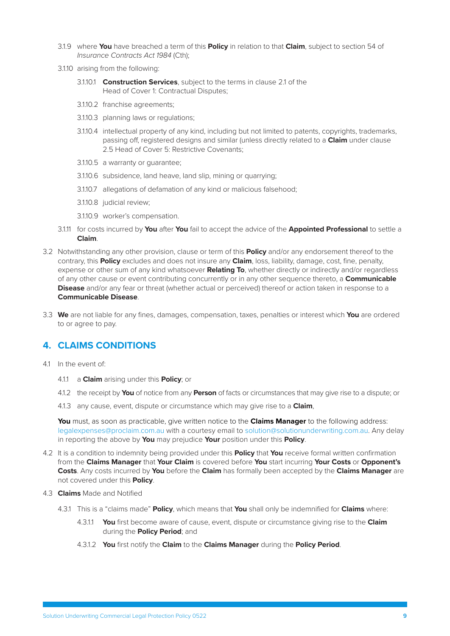- <span id="page-10-0"></span>3.1.9 where **You** have breached a term of this **Policy** in relation to that **Claim**, subject to section 54 of *Insurance Contracts Act 1984* (Cth);
- 3.1.10 arising from the following:
	- 3.1.10.1 **Construction Services**, subject to the terms in clause 2.1 of the Head of Cover 1: Contractual Disputes;
	- 3.1.10.2 franchise agreements;
	- 3.1.10.3 planning laws or regulations;
	- 3.1.10.4 intellectual property of any kind, including but not limited to patents, copyrights, trademarks, passing off, registered designs and similar (unless directly related to a **Claim** under clause 2.5 Head of Cover 5: Restrictive Covenants;
	- 3.1.10.5 a warranty or guarantee;
	- 3.1.10.6 subsidence, land heave, land slip, mining or quarrying;
	- 3.1.10.7 allegations of defamation of any kind or malicious falsehood;
	- 3.1.10.8 judicial review;
	- 3.1.10.9 worker's compensation.
- 3.1.11 for costs incurred by **You** after **You** fail to accept the advice of the **Appointed Professional** to settle a **Claim**.
- 3.2 Notwithstanding any other provision, clause or term of this **Policy** and/or any endorsement thereof to the contrary, this **Policy** excludes and does not insure any **Claim**, loss, liability, damage, cost, fine, penalty, expense or other sum of any kind whatsoever **Relating To**, whether directly or indirectly and/or regardless of any other cause or event contributing concurrently or in any other sequence thereto, a **Communicable Disease** and/or any fear or threat (whether actual or perceived) thereof or action taken in response to a **Communicable Disease**.
- 3.3 **We** are not liable for any fines, damages, compensation, taxes, penalties or interest which **You** are ordered to or agree to pay.

# **4. CLAIMS CONDITIONS**

- 4.1 In the event of:
	- 4.1.1 a **Claim** arising under this **Policy**; or
	- 4.1.2 the receipt by **You** of notice from any **Person** of facts or circumstances that may give rise to a dispute; or
	- 4.1.3 any cause, event, dispute or circumstance which may give rise to a **Claim**,

**You** must, as soon as practicable, give written notice to the **Claims Manager** to the following address: [legalexpenses@proclaim.com.au](mailto:legalexpenses@proclaim.com.au) with a courtesy email to [solution@solutionunderwriting.com.au](mailto:solution@solutionunderwriting.com.au). Any delay in reporting the above by **You** may prejudice **Your** position under this **Policy**.

- 4.2 It is a condition to indemnity being provided under this **Policy** that **You** receive formal written confirmation from the **Claims Manager** that **Your Claim** is covered before **You** start incurring **Your Costs** or **Opponent's Costs**. Any costs incurred by **You** before the **Claim** has formally been accepted by the **Claims Manager** are not covered under this **Policy**.
- 4.3 **Claims** Made and Notified
	- 4.3.1 This is a "claims made" **Policy**, which means that **You** shall only be indemnified for **Claims** where:
		- 4.3.1.1 **You** first become aware of cause, event, dispute or circumstance giving rise to the **Claim**  during the **Policy Period**; and
		- 4.3.1.2 **You** first notify the **Claim** to the **Claims Manager** during the **Policy Period**.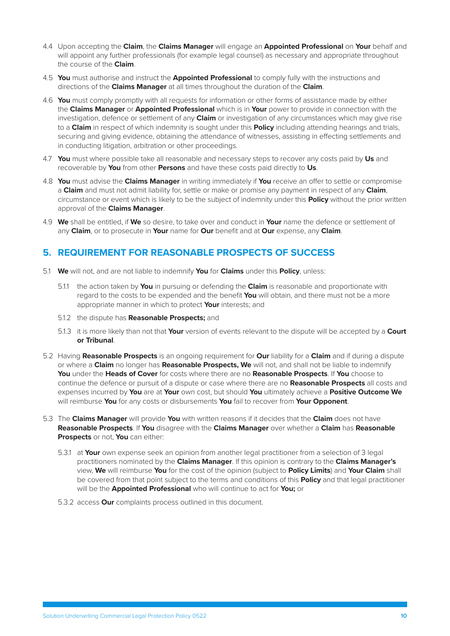- <span id="page-11-0"></span>4.4 Upon accepting the **Claim**, the **Claims Manager** will engage an **Appointed Professional** on **Your** behalf and will appoint any further professionals (for example legal counsel) as necessary and appropriate throughout the course of the **Claim**.
- 4.5 **You** must authorise and instruct the **Appointed Professional** to comply fully with the instructions and directions of the **Claims Manager** at all times throughout the duration of the **Claim**.
- 4.6 **You** must comply promptly with all requests for information or other forms of assistance made by either the **Claims Manager** or **Appointed Professional** which is in **Your** power to provide in connection with the investigation, defence or settlement of any **Claim** or investigation of any circumstances which may give rise to a **Claim** in respect of which indemnity is sought under this **Policy** including attending hearings and trials, securing and giving evidence, obtaining the attendance of witnesses, assisting in effecting settlements and in conducting litigation, arbitration or other proceedings.
- 4.7 **You** must where possible take all reasonable and necessary steps to recover any costs paid by **Us** and recoverable by **You** from other **Persons** and have these costs paid directly to **Us**.
- 4.8 **You** must advise the **Claims Manager** in writing immediately if **You** receive an offer to settle or compromise a **Claim** and must not admit liability for, settle or make or promise any payment in respect of any **Claim**, circumstance or event which is likely to be the subject of indemnity under this **Policy** without the prior written approval of the **Claims Manager**.
- 4.9 **We** shall be entitled, if **We** so desire, to take over and conduct in **Your** name the defence or settlement of any **Claim**, or to prosecute in **Your** name for **Our** benefit and at **Our** expense, any **Claim**.

# **5. REQUIREMENT FOR REASONABLE PROSPECTS OF SUCCESS**

- 5.1 **We** will not, and are not liable to indemnify **You** for **Claims** under this **Policy**, unless:
	- 5.1.1 the action taken by **You** in pursuing or defending the **Claim** is reasonable and proportionate with regard to the costs to be expended and the benefit **You** will obtain, and there must not be a more appropriate manner in which to protect **Your** interests; and
	- 5.1.2 the dispute has **Reasonable Prospects;** and
	- 5.1.3 it is more likely than not that **Your** version of events relevant to the dispute will be accepted by a **Court or Tribunal**.
- 5.2 Having **Reasonable Prospects** is an ongoing requirement for **Our** liability for a **Claim** and if during a dispute or where a **Claim** no longer has **Reasonable Prospects, We** will not, and shall not be liable to indemnify **You** under the **Heads of Cover** for costs where there are no **Reasonable Prospects**. If **You** choose to continue the defence or pursuit of a dispute or case where there are no **Reasonable Prospects** all costs and expenses incurred by **You** are at **Your** own cost, but should **You** ultimately achieve a **Positive Outcome We**  will reimburse **You** for any costs or disbursements **You** fail to recover from **Your Opponent**.
- 5.3 The **Claims Manager** will provide **You** with written reasons if it decides that the **Claim** does not have **Reasonable Prospects**. If **You** disagree with the **Claims Manager** over whether a **Claim** has **Reasonable Prospects** or not, **You** can either:
	- 5.3.1 at **Your** own expense seek an opinion from another legal practitioner from a selection of 3 legal practitioners nominated by the **Claims Manager**. If this opinion is contrary to the **Claims Manager's** view, **We** will reimburse **You** for the cost of the opinion (subject to **Policy Limits**) and **Your Claim** shall be covered from that point subject to the terms and conditions of this **Policy** and that legal practitioner will be the **Appointed Professional** who will continue to act for **You;** or
	- 5.3.2 access **Our** complaints process outlined in this document.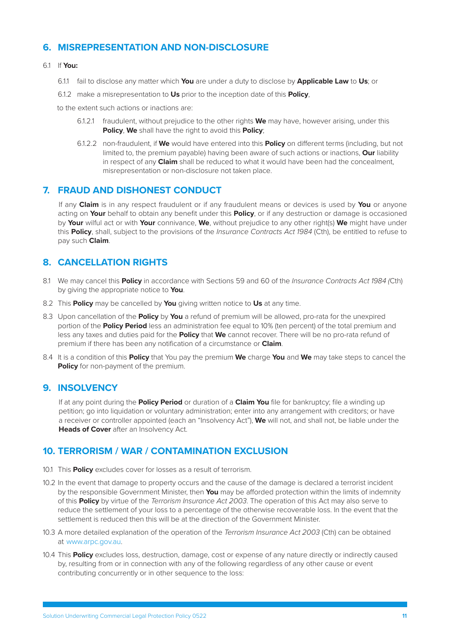# <span id="page-12-0"></span>**6. MISREPRESENTATION AND NON-DISCLOSURE**

#### 6.1 If **You:**

- 6.1.1 fail to disclose any matter which **You** are under a duty to disclose by **Applicable Law** to **Us**; or
- 6.1.2 make a misrepresentation to **Us** prior to the inception date of this **Policy**,

to the extent such actions or inactions are:

- 6.1.2.1 fraudulent, without prejudice to the other rights **We** may have, however arising, under this **Policy**, **We** shall have the right to avoid this **Policy**;
- 6.1.2.2 non-fraudulent, if **We** would have entered into this **Policy** on different terms (including, but not limited to, the premium payable) having been aware of such actions or inactions, **Our** liability in respect of any **Claim** shall be reduced to what it would have been had the concealment, misrepresentation or non-disclosure not taken place.

# **7. FRAUD AND DISHONEST CONDUCT**

If any **Claim** is in any respect fraudulent or if any fraudulent means or devices is used by **You** or anyone acting on **Your** behalf to obtain any benefit under this **Policy**, or if any destruction or damage is occasioned by **Your** wilful act or with **Your** connivance, **We**, without prejudice to any other right(s) **We** might have under this **Policy**, shall, subject to the provisions of the *Insurance Contracts Act 1984* (Cth), be entitled to refuse to pay such **Claim**.

# **8. CANCELLATION RIGHTS**

- 8.1 We may cancel this **Policy** in accordance with Sections 59 and 60 of the *Insurance Contracts Act 1984 (*Cth) by giving the appropriate notice to **You**.
- 8.2 This **Policy** may be cancelled by **You** giving written notice to **Us** at any time.
- 8.3 Upon cancellation of the **Policy** by **You** a refund of premium will be allowed, pro-rata for the unexpired portion of the **Policy Period** less an administration fee equal to 10% (ten percent) of the total premium and less any taxes and duties paid for the **Policy** that **We** cannot recover. There will be no pro-rata refund of premium if there has been any notification of a circumstance or **Claim**.
- 8.4 It is a condition of this **Policy** that You pay the premium **We** charge **You** and **We** may take steps to cancel the **Policy** for non-payment of the premium.

# **9. INSOLVENCY**

If at any point during the **Policy Period** or duration of a **Claim You** file for bankruptcy; file a winding up petition; go into liquidation or voluntary administration; enter into any arrangement with creditors; or have a receiver or controller appointed (each an "Insolvency Act"), **We** will not, and shall not, be liable under the **Heads of Cover** after an Insolvency Act.

# **10. TERRORISM / WAR / CONTAMINATION EXCLUSION**

- 10.1 This **Policy** excludes cover for losses as a result of terrorism.
- 10.2 In the event that damage to property occurs and the cause of the damage is declared a terrorist incident by the responsible Government Minister, then **You** may be afforded protection within the limits of indemnity of this **Policy** by virtue of the *Terrorism Insurance Act 2003*. The operation of this Act may also serve to reduce the settlement of your loss to a percentage of the otherwise recoverable loss. In the event that the settlement is reduced then this will be at the direction of the Government Minister.
- 10.3 A more detailed explanation of the operation of the *Terrorism Insurance Act 2003* (Cth) can be obtained at [www.arpc.gov.au.](http://www.arpc.gov.au/)
- 10.4 This **Policy** excludes loss, destruction, damage, cost or expense of any nature directly or indirectly caused by, resulting from or in connection with any of the following regardless of any other cause or event contributing concurrently or in other sequence to the loss: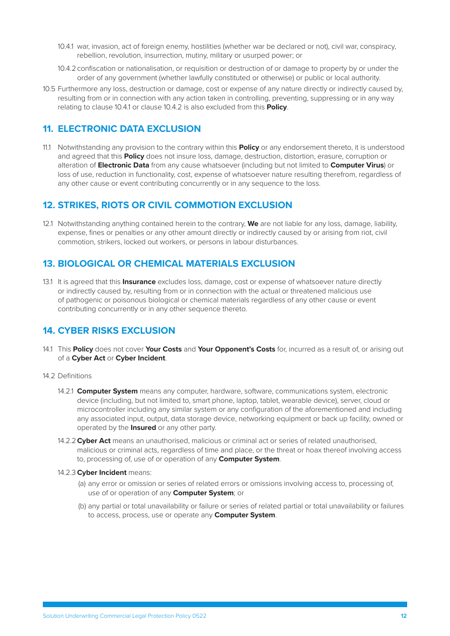- <span id="page-13-1"></span><span id="page-13-0"></span>10.4.1 war, invasion, act of foreign enemy, hostilities (whether war be declared or not), civil war, conspiracy, rebellion, revolution, insurrection, mutiny, military or usurped power; or
- <span id="page-13-2"></span>10.4.2confiscation or nationalisation, or requisition or destruction of or damage to property by or under the order of any government (whether lawfully constituted or otherwise) or public or local authority.
- 10.5 Furthermore any loss, destruction or damage, cost or expense of any nature directly or indirectly caused by, resulting from or in connection with any action taken in controlling, preventing, suppressing or in any way relating to clause [10.4.1](#page-13-1) or clause [10.4.2](#page-13-2) is also excluded from this **Policy**.

# **11. ELECTRONIC DATA EXCLUSION**

11.1 Notwithstanding any provision to the contrary within this **Policy** or any endorsement thereto, it is understood and agreed that this **Policy** does not insure loss, damage, destruction, distortion, erasure, corruption or alteration of **Electronic Data** from any cause whatsoever (including but not limited to **Computer Virus**) or loss of use, reduction in functionality, cost, expense of whatsoever nature resulting therefrom, regardless of any other cause or event contributing concurrently or in any sequence to the loss.

# **12. STRIKES, RIOTS OR CIVIL COMMOTION EXCLUSION**

12.1 Notwithstanding anything contained herein to the contrary, **We** are not liable for any loss, damage, liability, expense, fines or penalties or any other amount directly or indirectly caused by or arising from riot, civil commotion, strikers, locked out workers, or persons in labour disturbances.

# **13. BIOLOGICAL OR CHEMICAL MATERIALS EXCLUSION**

13.1 It is agreed that this **Insurance** excludes loss, damage, cost or expense of whatsoever nature directly or indirectly caused by, resulting from or in connection with the actual or threatened malicious use of pathogenic or poisonous biological or chemical materials regardless of any other cause or event contributing concurrently or in any other sequence thereto.

# **14. CYBER RISKS EXCLUSION**

14.1 This **Policy** does not cover **Your Costs** and **Your Opponent's Costs** for, incurred as a result of, or arising out of a **Cyber Act** or **Cyber Incident**.

# 14.2 Definitions

- 14.2.1 **Computer System** means any computer, hardware, software, communications system, electronic device (including, but not limited to, smart phone, laptop, tablet, wearable device), server, cloud or microcontroller including any similar system or any configuration of the aforementioned and including any associated input, output, data storage device, networking equipment or back up facility, owned or operated by the **Insured** or any other party.
- 14.2.2**Cyber Act** means an unauthorised, malicious or criminal act or series of related unauthorised, malicious or criminal acts, regardless of time and place, or the threat or hoax thereof involving access to, processing of, use of or operation of any **Computer System**.

## 14.2.3**Cyber Incident** means:

- (a) any error or omission or series of related errors or omissions involving access to, processing of, use of or operation of any **Computer System**; or
- (b) any partial or total unavailability or failure or series of related partial or total unavailability or failures to access, process, use or operate any **Computer System**.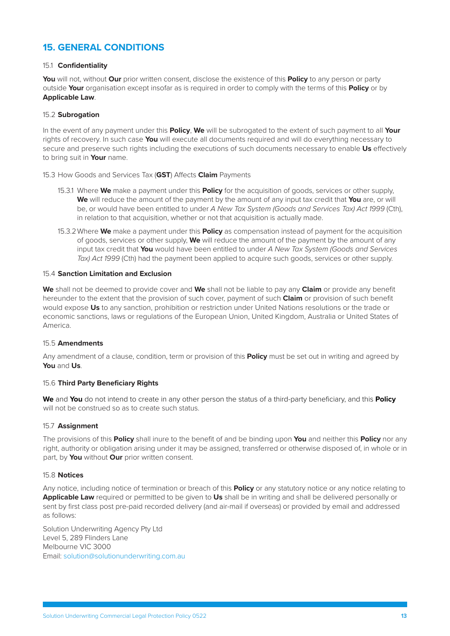# **15. GENERAL CONDITIONS**

## 15.1 **Confidentiality**

**You** will not, without **Our** prior written consent, disclose the existence of this **Policy** to any person or party outside **Your** organisation except insofar as is required in order to comply with the terms of this **Policy** or by **Applicable Law**.

#### 15.2 **Subrogation**

In the event of any payment under this **Policy**, **We** will be subrogated to the extent of such payment to all **Your** rights of recovery. In such case **You** will execute all documents required and will do everything necessary to secure and preserve such rights including the executions of such documents necessary to enable **Us** effectively to bring suit in **Your** name.

15.3 How Goods and Services Tax (**GST**) Affects **Claim** Payments

- 15.3.1 Where **We** make a payment under this **Policy** for the acquisition of goods, services or other supply, **We** will reduce the amount of the payment by the amount of any input tax credit that **You** are, or will be, or would have been entitled to under *A New Tax System (Goods and Services Tax) Act 1999* (Cth), in relation to that acquisition, whether or not that acquisition is actually made.
- 15.3.2Where **We** make a payment under this **Policy** as compensation instead of payment for the acquisition of goods, services or other supply, **We** will reduce the amount of the payment by the amount of any input tax credit that **You** would have been entitled to under *A New Tax System (Goods and Services Tax) Act 1999* (Cth) had the payment been applied to acquire such goods, services or other supply.

#### 15.4 **Sanction Limitation and Exclusion**

**We** shall not be deemed to provide cover and **We** shall not be liable to pay any **Claim** or provide any benefit hereunder to the extent that the provision of such cover, payment of such **Claim** or provision of such benefit would expose **Us** to any sanction, prohibition or restriction under United Nations resolutions or the trade or economic sanctions, laws or regulations of the European Union, United Kingdom, Australia or United States of America.

## 15.5 **Amendments**

Any amendment of a clause, condition, term or provision of this **Policy** must be set out in writing and agreed by **You** and **Us**.

## 15.6 **Third Party Beneficiary Rights**

**We** and **You** do not intend to create in any other person the status of a third-party beneficiary, and this **Policy**  will not be construed so as to create such status.

#### 15.7 **Assignment**

The provisions of this **Policy** shall inure to the benefit of and be binding upon **You** and neither this **Policy** nor any right, authority or obligation arising under it may be assigned, transferred or otherwise disposed of, in whole or in part, by **You** without **Our** prior written consent.

#### 15.8 **Notices**

Any notice, including notice of termination or breach of this **Policy** or any statutory notice or any notice relating to **Applicable Law** required or permitted to be given to **Us** shall be in writing and shall be delivered personally or sent by first class post pre-paid recorded delivery (and air-mail if overseas) or provided by email and addressed as follows:

Solution Underwriting Agency Pty Ltd Level 5, 289 Flinders Lane Melbourne VIC 3000 Email: [solution@solutionunderwriting.com.au](mailto:solution@solutionunderwriting.com.au)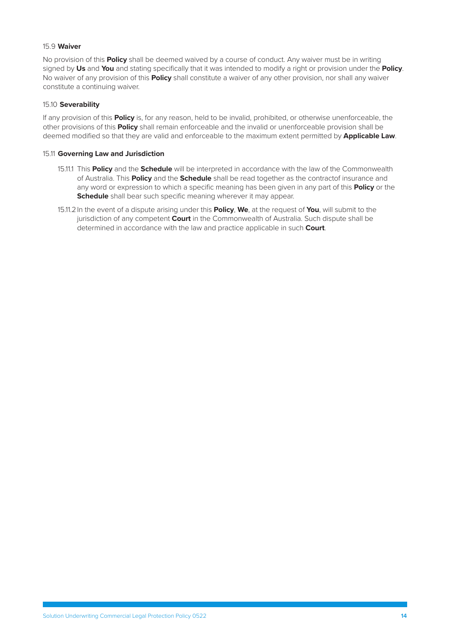# 15.9 **Waiver**

No provision of this **Policy** shall be deemed waived by a course of conduct. Any waiver must be in writing signed by **Us** and **You** and stating specifically that it was intended to modify a right or provision under the **Policy**. No waiver of any provision of this **Policy** shall constitute a waiver of any other provision, nor shall any waiver constitute a continuing waiver.

#### 15.10 **Severability**

If any provision of this **Policy** is, for any reason, held to be invalid, prohibited, or otherwise unenforceable, the other provisions of this **Policy** shall remain enforceable and the invalid or unenforceable provision shall be deemed modified so that they are valid and enforceable to the maximum extent permitted by **Applicable Law**.

#### 15.11 **Governing Law and Jurisdiction**

- 15.11.1 This **Policy** and the **Schedule** will be interpreted in accordance with the law of the Commonwealth of Australia. This **Policy** and the **Schedule** shall be read together as the contractof insurance and any word or expression to which a specific meaning has been given in any part of this **Policy** or the **Schedule** shall bear such specific meaning wherever it may appear.
- 15.11.2In the event of a dispute arising under this **Policy**, **We**, at the request of **You**, will submit to the jurisdiction of any competent **Court** in the Commonwealth of Australia. Such dispute shall be determined in accordance with the law and practice applicable in such **Court**.